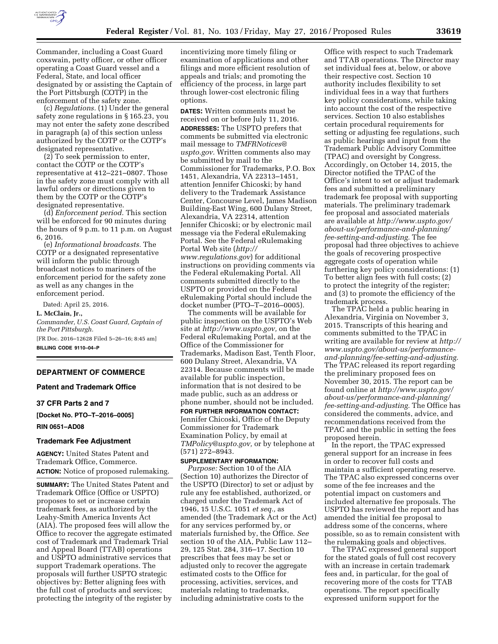

Commander, including a Coast Guard coxswain, petty officer, or other officer operating a Coast Guard vessel and a Federal, State, and local officer designated by or assisting the Captain of the Port Pittsburgh (COTP) in the enforcement of the safety zone.

(c) *Regulations.* (1) Under the general safety zone regulations in § 165.23, you may not enter the safety zone described in paragraph (a) of this section unless authorized by the COTP or the COTP's designated representative.

(2) To seek permission to enter, contact the COTP or the COTP's representative at 412–221–0807. Those in the safety zone must comply with all lawful orders or directions given to them by the COTP or the COTP's designated representative.

(d) *Enforcement period.* This section will be enforced for 90 minutes during the hours of 9 p.m. to 11 p.m. on August 6, 2016.

(e) *Informational broadcasts.* The COTP or a designated representative will inform the public through broadcast notices to mariners of the enforcement period for the safety zone as well as any changes in the enforcement period.

Dated: April 25, 2016.

**L. McClain, Jr.,** 

*Commander, U.S. Coast Guard, Captain of the Port Pittsburgh.* 

[FR Doc. 2016–12628 Filed 5–26–16; 8:45 am] **BILLING CODE 9110–04–P** 

## **DEPARTMENT OF COMMERCE**

### **Patent and Trademark Office**

**37 CFR Parts 2 and 7** 

**[Docket No. PTO–T–2016–0005] RIN 0651–AD08** 

#### **Trademark Fee Adjustment**

**AGENCY:** United States Patent and Trademark Office, Commerce. **ACTION:** Notice of proposed rulemaking.

**SUMMARY:** The United States Patent and Trademark Office (Office or USPTO) proposes to set or increase certain trademark fees, as authorized by the Leahy-Smith America Invents Act (AIA). The proposed fees will allow the Office to recover the aggregate estimated cost of Trademark and Trademark Trial and Appeal Board (TTAB) operations and USPTO administrative services that support Trademark operations. The proposals will further USPTO strategic objectives by: Better aligning fees with the full cost of products and services; protecting the integrity of the register by

incentivizing more timely filing or examination of applications and other filings and more efficient resolution of appeals and trials; and promoting the efficiency of the process, in large part through lower-cost electronic filing options.

**DATES:** Written comments must be received on or before July 11, 2016. **ADDRESSES:** The USPTO prefers that comments be submitted via electronic mail message to *[TMFRNotices@](mailto:TMFRNotices@uspto.gov) [uspto.gov.](mailto:TMFRNotices@uspto.gov)* Written comments also may be submitted by mail to the Commissioner for Trademarks, P.O. Box 1451, Alexandria, VA 22313–1451, attention Jennifer Chicoski; by hand delivery to the Trademark Assistance Center, Concourse Level, James Madison Building-East Wing, 600 Dulany Street, Alexandria, VA 22314, attention Jennifer Chicoski; or by electronic mail message via the Federal eRulemaking Portal. See the Federal eRulemaking Portal Web site (*[http://](http://www.regulations.gov) [www.regulations.gov](http://www.regulations.gov)*) for additional instructions on providing comments via the Federal eRulemaking Portal. All comments submitted directly to the USPTO or provided on the Federal eRulemaking Portal should include the docket number (PTO–T–2016–0005).

The comments will be available for public inspection on the USPTO's Web site at *[http://www.uspto.gov,](http://www.uspto.gov)* on the Federal eRulemaking Portal, and at the Office of the Commissioner for Trademarks, Madison East, Tenth Floor, 600 Dulany Street, Alexandria, VA 22314. Because comments will be made available for public inspection, information that is not desired to be made public, such as an address or phone number, should not be included.

**FOR FURTHER INFORMATION CONTACT:**  Jennifer Chicoski, Office of the Deputy Commissioner for Trademark Examination Policy, by email at *[TMPolicy@uspto.gov,](mailto:TMPolicy@uspto.gov)* or by telephone at (571) 272–8943.

## **SUPPLEMENTARY INFORMATION:**

*Purpose:* Section 10 of the AIA (Section 10) authorizes the Director of the USPTO (Director) to set or adjust by rule any fee established, authorized, or charged under the Trademark Act of 1946, 15 U.S.C. 1051 *et seq.,* as amended (the Trademark Act or the Act) for any services performed by, or materials furnished by, the Office. *See*  section 10 of the AIA, Public Law 112– 29, 125 Stat. 284, 316–17. Section 10 prescribes that fees may be set or adjusted only to recover the aggregate estimated costs to the Office for processing, activities, services, and materials relating to trademarks, including administrative costs to the

Office with respect to such Trademark and TTAB operations. The Director may set individual fees at, below, or above their respective cost. Section 10 authority includes flexibility to set individual fees in a way that furthers key policy considerations, while taking into account the cost of the respective services. Section 10 also establishes certain procedural requirements for setting or adjusting fee regulations, such as public hearings and input from the Trademark Public Advisory Committee (TPAC) and oversight by Congress. Accordingly, on October 14, 2015, the Director notified the TPAC of the Office's intent to set or adjust trademark fees and submitted a preliminary trademark fee proposal with supporting materials. The preliminary trademark fee proposal and associated materials are available at *[http://www.uspto.gov/](http://www.uspto.gov/about-us/performance-and-planning/fee-setting-and-adjusting) [about-us/performance-and-planning/](http://www.uspto.gov/about-us/performance-and-planning/fee-setting-and-adjusting) [fee-setting-and-adjusting.](http://www.uspto.gov/about-us/performance-and-planning/fee-setting-and-adjusting)* The fee proposal had three objectives to achieve the goals of recovering prospective aggregate costs of operation while furthering key policy considerations: (1) To better align fees with full costs; (2) to protect the integrity of the register; and (3) to promote the efficiency of the trademark process.

The TPAC held a public hearing in Alexandria, Virginia on November 3, 2015. Transcripts of this hearing and comments submitted to the TPAC in writing are available for review at *[http://](http://www.uspto.gov/about-us/performance-and-planning/fee-setting-and-adjusting)  [www.uspto.gov/about-us/performance](http://www.uspto.gov/about-us/performance-and-planning/fee-setting-and-adjusting)[and-planning/fee-setting-and-adjusting.](http://www.uspto.gov/about-us/performance-and-planning/fee-setting-and-adjusting)*  The TPAC released its report regarding the preliminary proposed fees on November 30, 2015. The report can be found online at *[http://www.uspto.gov/](http://www.uspto.gov/about-us/performance-and-planning/fee-setting-and-adjusting) [about-us/performance-and-planning/](http://www.uspto.gov/about-us/performance-and-planning/fee-setting-and-adjusting) [fee-setting-and-adjusting.](http://www.uspto.gov/about-us/performance-and-planning/fee-setting-and-adjusting)* The Office has considered the comments, advice, and recommendations received from the TPAC and the public in setting the fees proposed herein.

In the report, the TPAC expressed general support for an increase in fees in order to recover full costs and maintain a sufficient operating reserve. The TPAC also expressed concerns over some of the fee increases and the potential impact on customers and included alternative fee proposals. The USPTO has reviewed the report and has amended the initial fee proposal to address some of the concerns, where possible, so as to remain consistent with the rulemaking goals and objectives.

The TPAC expressed general support for the stated goals of full cost recovery with an increase in certain trademark fees and, in particular, for the goal of recovering more of the costs for TTAB operations. The report specifically expressed uniform support for the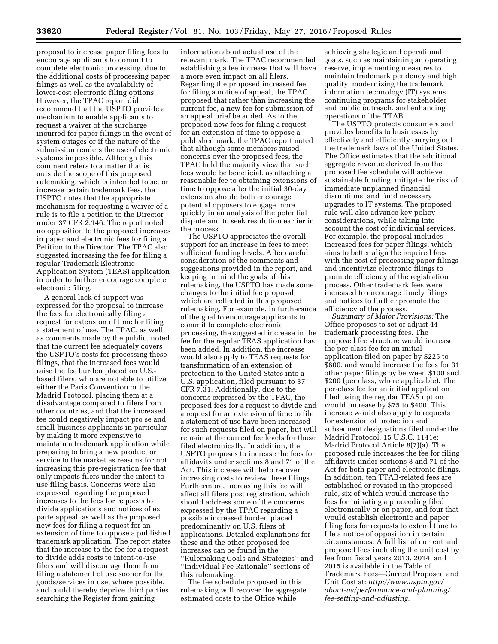proposal to increase paper filing fees to encourage applicants to commit to complete electronic processing, due to the additional costs of processing paper filings as well as the availability of lower-cost electronic filing options. However, the TPAC report did recommend that the USPTO provide a mechanism to enable applicants to request a waiver of the surcharge incurred for paper filings in the event of system outages or if the nature of the submission renders the use of electronic systems impossible. Although this comment refers to a matter that is outside the scope of this proposed rulemaking, which is intended to set or increase certain trademark fees, the USPTO notes that the appropriate mechanism for requesting a waiver of a rule is to file a petition to the Director under 37 CFR 2.146. The report noted no opposition to the proposed increases in paper and electronic fees for filing a Petition to the Director. The TPAC also suggested increasing the fee for filing a regular Trademark Electronic Application System (TEAS) application in order to further encourage complete electronic filing.

A general lack of support was expressed for the proposal to increase the fees for electronically filing a request for extension of time for filing a statement of use. The TPAC, as well as comments made by the public, noted that the current fee adequately covers the USPTO's costs for processing these filings, that the increased fees would raise the fee burden placed on U.S. based filers, who are not able to utilize either the Paris Convention or the Madrid Protocol, placing them at a disadvantage compared to filers from other countries, and that the increased fee could negatively impact pro se and small-business applicants in particular by making it more expensive to maintain a trademark application while preparing to bring a new product or service to the market as reasons for not increasing this pre-registration fee that only impacts filers under the intent-touse filing basis. Concerns were also expressed regarding the proposed increases to the fees for requests to divide applications and notices of ex parte appeal, as well as the proposed new fees for filing a request for an extension of time to oppose a published trademark application. The report states that the increase to the fee for a request to divide adds costs to intent-to-use filers and will discourage them from filing a statement of use sooner for the goods/services in use, where possible, and could thereby deprive third parties searching the Register from gaining

information about actual use of the relevant mark. The TPAC recommended establishing a fee increase that will have a more even impact on all filers. Regarding the proposed increased fee for filing a notice of appeal, the TPAC proposed that rather than increasing the current fee, a new fee for submission of an appeal brief be added. As to the proposed new fees for filing a request for an extension of time to oppose a published mark, the TPAC report noted that although some members raised concerns over the proposed fees, the TPAC held the majority view that such fees would be beneficial, as attaching a reasonable fee to obtaining extensions of time to oppose after the initial 30-day extension should both encourage potential opposers to engage more quickly in an analysis of the potential dispute and to seek resolution earlier in the process.

The USPTO appreciates the overall support for an increase in fees to meet sufficient funding levels. After careful consideration of the comments and suggestions provided in the report, and keeping in mind the goals of this rulemaking, the USPTO has made some changes to the initial fee proposal, which are reflected in this proposed rulemaking. For example, in furtherance of the goal to encourage applicants to commit to complete electronic processing, the suggested increase in the fee for the regular TEAS application has been added. In addition, the increase would also apply to TEAS requests for transformation of an extension of protection to the United States into a U.S. application, filed pursuant to 37 CFR 7.31. Additionally, due to the concerns expressed by the TPAC, the proposed fees for a request to divide and a request for an extension of time to file a statement of use have been increased for such requests filed on paper, but will remain at the current fee levels for those filed electronically. In addition, the USPTO proposes to increase the fees for affidavits under sections 8 and 71 of the Act. This increase will help recover increasing costs to review these filings. Furthermore, increasing this fee will affect all filers post registration, which should address some of the concerns expressed by the TPAC regarding a possible increased burden placed predominantly on U.S. filers of applications. Detailed explanations for these and the other proposed fee increases can be found in the ''Rulemaking Goals and Strategies'' and ''Individual Fee Rationale'' sections of this rulemaking.

The fee schedule proposed in this rulemaking will recover the aggregate estimated costs to the Office while

achieving strategic and operational goals, such as maintaining an operating reserve, implementing measures to maintain trademark pendency and high quality, modernizing the trademark information technology (IT) systems, continuing programs for stakeholder and public outreach, and enhancing operations of the TTAB.

The USPTO protects consumers and provides benefits to businesses by effectively and efficiently carrying out the trademark laws of the United States. The Office estimates that the additional aggregate revenue derived from the proposed fee schedule will achieve sustainable funding, mitigate the risk of immediate unplanned financial disruptions, and fund necessary upgrades to IT systems. The proposed rule will also advance key policy considerations, while taking into account the cost of individual services. For example, the proposal includes increased fees for paper filings, which aims to better align the required fees with the cost of processing paper filings and incentivize electronic filings to promote efficiency of the registration process. Other trademark fees were increased to encourage timely filings and notices to further promote the efficiency of the process.

*Summary of Major Provisions:* The Office proposes to set or adjust 44 trademark processing fees. The proposed fee structure would increase the per-class fee for an initial application filed on paper by \$225 to \$600, and would increase the fees for 31 other paper filings by between \$100 and \$200 (per class, where applicable). The per-class fee for an initial application filed using the regular TEAS option would increase by \$75 to \$400. This increase would also apply to requests for extension of protection and subsequent designations filed under the Madrid Protocol. 15 U.S.C. 1141e; Madrid Protocol Article 8(7)(a). The proposed rule increases the fee for filing affidavits under sections 8 and 71 of the Act for both paper and electronic filings. In addition, ten TTAB-related fees are established or revised in the proposed rule, six of which would increase the fees for initiating a proceeding filed electronically or on paper, and four that would establish electronic and paper filing fees for requests to extend time to file a notice of opposition in certain circumstances. A full list of current and proposed fees including the unit cost by fee from fiscal years 2013, 2014, and 2015 is available in the Table of Trademark Fees—Current Proposed and Unit Cost at: *[http://www.uspto.gov/](http://www.uspto.gov/about-us/performance-and-planning/fee-setting-and-adjusting) [about-us/performance-and-planning/](http://www.uspto.gov/about-us/performance-and-planning/fee-setting-and-adjusting) [fee-setting-and-adjusting.](http://www.uspto.gov/about-us/performance-and-planning/fee-setting-and-adjusting)*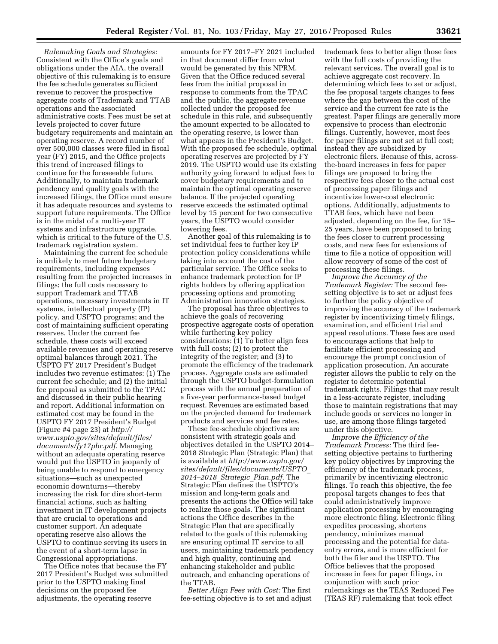*Rulemaking Goals and Strategies:*  Consistent with the Office's goals and obligations under the AIA, the overall objective of this rulemaking is to ensure the fee schedule generates sufficient revenue to recover the prospective aggregate costs of Trademark and TTAB operations and the associated administrative costs. Fees must be set at levels projected to cover future budgetary requirements and maintain an operating reserve. A record number of over 500,000 classes were filed in fiscal year (FY) 2015, and the Office projects this trend of increased filings to continue for the foreseeable future. Additionally, to maintain trademark pendency and quality goals with the increased filings, the Office must ensure it has adequate resources and systems to support future requirements. The Office is in the midst of a multi-year IT systems and infrastructure upgrade, which is critical to the future of the U.S. trademark registration system.

Maintaining the current fee schedule is unlikely to meet future budgetary requirements, including expenses resulting from the projected increases in filings; the full costs necessary to support Trademark and TTAB operations, necessary investments in IT systems, intellectual property (IP) policy, and USPTO programs; and the cost of maintaining sufficient operating reserves. Under the current fee schedule, these costs will exceed available revenues and operating reserve optimal balances through 2021. The USPTO FY 2017 President's Budget includes two revenue estimates: (1) The current fee schedule; and (2) the initial fee proposal as submitted to the TPAC and discussed in their public hearing and report. Additional information on estimated cost may be found in the USPTO FY 2017 President's Budget (Figure #4 page 23) at *[http://](http://www.uspto.gov/sites/default/files/documents/fy17pbr.pdf) [www.uspto.gov/sites/default/files/](http://www.uspto.gov/sites/default/files/documents/fy17pbr.pdf) [documents/fy17pbr.pdf.](http://www.uspto.gov/sites/default/files/documents/fy17pbr.pdf)* Managing without an adequate operating reserve would put the USPTO in jeopardy of being unable to respond to emergency situations—such as unexpected economic downturns—thereby increasing the risk for dire short-term financial actions, such as halting investment in IT development projects that are crucial to operations and customer support. An adequate operating reserve also allows the USPTO to continue serving its users in the event of a short-term lapse in Congressional appropriations.

The Office notes that because the FY 2017 President's Budget was submitted prior to the USPTO making final decisions on the proposed fee adjustments, the operating reserve

amounts for FY 2017–FY 2021 included in that document differ from what would be generated by this NPRM. Given that the Office reduced several fees from the initial proposal in response to comments from the TPAC and the public, the aggregate revenue collected under the proposed fee schedule in this rule, and subsequently the amount expected to be allocated to the operating reserve, is lower than what appears in the President's Budget. With the proposed fee schedule, optimal operating reserves are projected by FY 2019. The USPTO would use its existing authority going forward to adjust fees to cover budgetary requirements and to maintain the optimal operating reserve balance. If the projected operating reserve exceeds the estimated optimal level by 15 percent for two consecutive years, the USPTO would consider lowering fees.

Another goal of this rulemaking is to set individual fees to further key IP protection policy considerations while taking into account the cost of the particular service. The Office seeks to enhance trademark protection for IP rights holders by offering application processing options and promoting Administration innovation strategies.

The proposal has three objectives to achieve the goals of recovering prospective aggregate costs of operation while furthering key policy considerations: (1) To better align fees with full costs; (2) to protect the integrity of the register; and (3) to promote the efficiency of the trademark process. Aggregate costs are estimated through the USPTO budget-formulation process with the annual preparation of a five-year performance-based budget request. Revenues are estimated based on the projected demand for trademark products and services and fee rates.

These fee-schedule objectives are consistent with strategic goals and objectives detailed in the USPTO 2014– 2018 Strategic Plan (Strategic Plan) that is available at *[http://www.uspto.gov/](http://www.uspto.gov/sites/default/files/documents/USPTO_2014-2018_Strategic_Plan.pdf) [sites/default/files/documents/USPTO](http://www.uspto.gov/sites/default/files/documents/USPTO_2014-2018_Strategic_Plan.pdf)*\_ *[2014–2018](http://www.uspto.gov/sites/default/files/documents/USPTO_2014-2018_Strategic_Plan.pdf)*\_*Strategic*\_*Plan.pdf*. The Strategic Plan defines the USPTO's mission and long-term goals and presents the actions the Office will take to realize those goals. The significant actions the Office describes in the Strategic Plan that are specifically related to the goals of this rulemaking are ensuring optimal IT service to all users, maintaining trademark pendency and high quality, continuing and enhancing stakeholder and public outreach, and enhancing operations of the TTAB.

*Better Align Fees with Cost:* The first fee-setting objective is to set and adjust trademark fees to better align those fees with the full costs of providing the relevant services. The overall goal is to achieve aggregate cost recovery. In determining which fees to set or adjust, the fee proposal targets changes to fees where the gap between the cost of the service and the current fee rate is the greatest. Paper filings are generally more expensive to process than electronic filings. Currently, however, most fees for paper filings are not set at full cost; instead they are subsidized by electronic filers. Because of this, acrossthe-board increases in fees for paper filings are proposed to bring the respective fees closer to the actual cost of processing paper filings and incentivize lower-cost electronic options. Additionally, adjustments to TTAB fees, which have not been adjusted, depending on the fee, for 15– 25 years, have been proposed to bring the fees closer to current processing costs, and new fees for extensions of time to file a notice of opposition will allow recovery of some of the cost of processing these filings.

*Improve the Accuracy of the Trademark Register:* The second feesetting objective is to set or adjust fees to further the policy objective of improving the accuracy of the trademark register by incentivizing timely filings, examination, and efficient trial and appeal resolutions. These fees are used to encourage actions that help to facilitate efficient processing and encourage the prompt conclusion of application prosecution. An accurate register allows the public to rely on the register to determine potential trademark rights. Filings that may result in a less-accurate register, including those to maintain registrations that may include goods or services no longer in use, are among those filings targeted under this objective.

*Improve the Efficiency of the Trademark Process:* The third feesetting objective pertains to furthering key policy objectives by improving the efficiency of the trademark process, primarily by incentivizing electronic filings. To reach this objective, the fee proposal targets changes to fees that could administratively improve application processing by encouraging more electronic filing. Electronic filing expedites processing, shortens pendency, minimizes manual processing and the potential for dataentry errors, and is more efficient for both the filer and the USPTO. The Office believes that the proposed increase in fees for paper filings, in conjunction with such prior rulemakings as the TEAS Reduced Fee (TEAS RF) rulemaking that took effect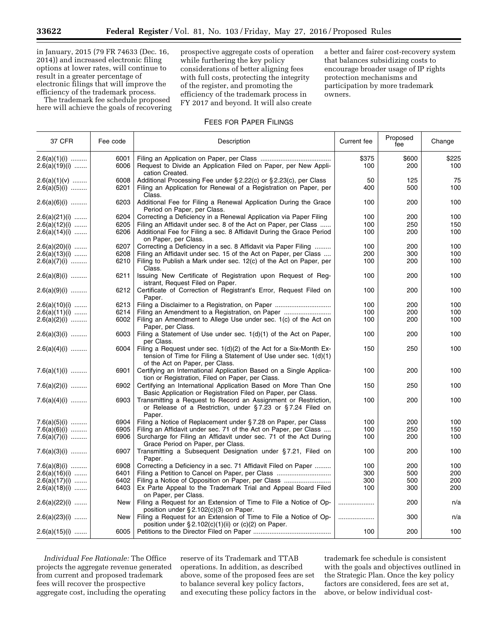in January, 2015 (79 FR 74633 (Dec. 16, 2014)) and increased electronic filing options at lower rates, will continue to result in a greater percentage of electronic filings that will improve the efficiency of the trademark process.

The trademark fee schedule proposed here will achieve the goals of recovering prospective aggregate costs of operation while furthering the key policy considerations of better aligning fees with full costs, protecting the integrity of the register, and promoting the efficiency of the trademark process in FY 2017 and beyond. It will also create

a better and fairer cost-recovery system that balances subsidizing costs to encourage broader usage of IP rights protection mechanisms and participation by more trademark owners.

# FEES FOR PAPER FILINGS

| 37 CFR          | Fee code | Description                                                                                                                                                               | Current fee | Proposed<br>fee | Change |
|-----------------|----------|---------------------------------------------------------------------------------------------------------------------------------------------------------------------------|-------------|-----------------|--------|
| $2.6(a)(1)(i)$  | 6001     |                                                                                                                                                                           | \$375       | \$600           | \$225  |
| $2.6(a)(19)(i)$ | 6006     | Request to Divide an Application Filed on Paper, per New Appli-<br>cation Created.                                                                                        | 100         | 200             | 100    |
| $2.6(a)(1)(v)$  | 6008     | Additional Processing Fee under § 2.22(c) or § 2.23(c), per Class                                                                                                         | 50          | 125             | 75     |
| $2.6(a)(5)(i)$  | 6201     | Filing an Application for Renewal of a Registration on Paper, per<br>Class.                                                                                               | 400         | 500             | 100    |
| $2.6(a)(6)(i)$  | 6203     | Additional Fee for Filing a Renewal Application During the Grace<br>Period on Paper, per Class.                                                                           | 100         | 200             | 100    |
| $2.6(a)(21)(i)$ | 6204     | Correcting a Deficiency in a Renewal Application via Paper Filing                                                                                                         | 100         | 200             | 100    |
| $2.6(a)(12)(i)$ | 6205     | Filing an Affidavit under sec. 8 of the Act on Paper, per Class                                                                                                           | 100         | 250             | 150    |
| $2.6(a)(14)(i)$ | 6206     | Additional Fee for Filing a sec. 8 Affidavit During the Grace Period<br>on Paper, per Class.                                                                              | 100         | 200             | 100    |
| $2.6(a)(20)(i)$ | 6207     | Correcting a Deficiency in a sec. 8 Affidavit via Paper Filing                                                                                                            | 100         | 200             | 100    |
| $2.6(a)(13)(i)$ | 6208     | Filing an Affidavit under sec. 15 of the Act on Paper, per Class                                                                                                          | 200         | 300             | 100    |
| $2.6(a)(7)(i)$  | 6210     | Filing to Publish a Mark under sec. 12(c) of the Act on Paper, per<br>Class.                                                                                              | 100         | 200             | 100    |
| $2.6(a)(8)(i)$  | 6211     | Issuing New Certificate of Registration upon Request of Reg-<br>istrant, Request Filed on Paper.                                                                          | 100         | 200             | 100    |
| $2.6(a)(9)(i)$  | 6212     | Certificate of Correction of Registrant's Error, Request Filed on<br>Paper.                                                                                               | 100         | 200             | 100    |
| $2.6(a)(10)(i)$ | 6213     |                                                                                                                                                                           | 100         | 200             | 100    |
| $2.6(a)(11)(i)$ | 6214     |                                                                                                                                                                           | 100         | 200             | 100    |
| $2.6(a)(2)(i)$  | 6002     | Filing an Amendment to Allege Use under sec. 1(c) of the Act on<br>Paper, per Class.                                                                                      | 100         | 200             | 100    |
| $2.6(a)(3)(i)$  | 6003     | Filing a Statement of Use under sec. 1(d)(1) of the Act on Paper,<br>per Class.                                                                                           | 100         | 200             | 100    |
| $2.6(a)(4)(i)$  | 6004     | Filing a Request under sec. 1(d)(2) of the Act for a Six-Month Ex-<br>tension of Time for Filing a Statement of Use under sec. 1(d)(1)<br>of the Act on Paper, per Class. | 150         | 250             | 100    |
| $7.6(a)(1)(i)$  | 6901     | Certifying an International Application Based on a Single Applica-<br>tion or Registration, Filed on Paper, per Class.                                                    | 100         | 200             | 100    |
| $7.6(a)(2)(i)$  | 6902     | Certifying an International Application Based on More Than One<br>Basic Application or Registration Filed on Paper, per Class.                                            | 150         | 250             | 100    |
| 7.6(a)(4)(i)    | 6903     | Transmitting a Request to Record an Assignment or Restriction,<br>or Release of a Restriction, under §7.23 or §7.24 Filed on<br>Paper.                                    | 100         | 200             | 100    |
| $7.6(a)(5)(i)$  | 6904     | Filing a Notice of Replacement under §7.28 on Paper, per Class                                                                                                            | 100         | 200             | 100    |
| $7.6(a)(6)(i)$  | 6905     | Filing an Affidavit under sec. 71 of the Act on Paper, per Class                                                                                                          | 100         | 250             | 150    |
| $7.6(a)(7)(i)$  | 6906     | Surcharge for Filing an Affidavit under sec. 71 of the Act During<br>Grace Period on Paper, per Class.                                                                    | 100         | 200             | 100    |
| $7.6(a)(3)(i)$  | 6907     | Transmitting a Subsequent Designation under §7.21, Filed on<br>Paper.                                                                                                     | 100         | 200             | 100    |
| $7.6(a)(8)(i)$  | 6908     | Correcting a Deficiency in a sec. 71 Affidavit Filed on Paper                                                                                                             | 100         | 200             | 100    |
| $2.6(a)(16)(i)$ | 6401     |                                                                                                                                                                           | 300         | 500             | 200    |
| $2.6(a)(17)(i)$ | 6402     | Filing a Notice of Opposition on Paper, per Class                                                                                                                         | 300         | 500             | 200    |
| $2.6(a)(18)(i)$ | 6403     | Ex Parte Appeal to the Trademark Trial and Appeal Board Filed<br>on Paper, per Class.                                                                                     | 100         | 300             | 200    |
| $2.6(a)(22)(i)$ | New      | Filing a Request for an Extension of Time to File a Notice of Op-<br>position under §2.102(c)(3) on Paper.                                                                |             | 200             | n/a    |
| $2.6(a)(23)(i)$ | New      | Filing a Request for an Extension of Time to File a Notice of Op-                                                                                                         |             | 300             | n/a    |
| $2.6(a)(15)(i)$ | 6005     | position under $\S 2.102(c)(1)(ii)$ or $(c)(2)$ on Paper.                                                                                                                 | 100         | 200             | 100    |

*Individual Fee Rationale:* The Office projects the aggregate revenue generated from current and proposed trademark fees will recover the prospective aggregate cost, including the operating

reserve of its Trademark and TTAB operations. In addition, as described above, some of the proposed fees are set to balance several key policy factors, and executing these policy factors in the

trademark fee schedule is consistent with the goals and objectives outlined in the Strategic Plan. Once the key policy factors are considered, fees are set at, above, or below individual cost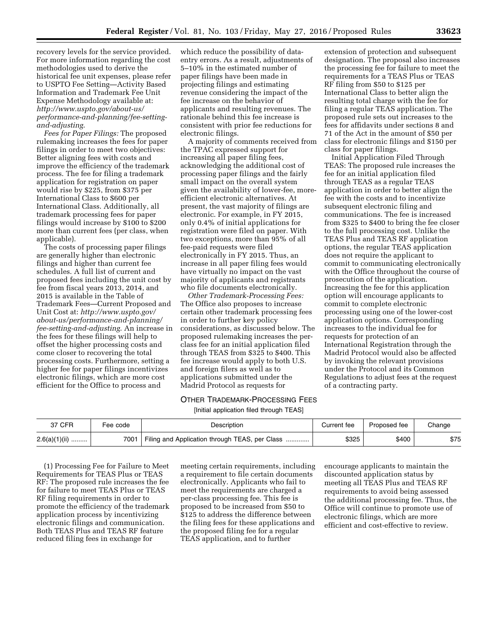recovery levels for the service provided. For more information regarding the cost methodologies used to derive the historical fee unit expenses, please refer to USPTO Fee Setting—Activity Based Information and Trademark Fee Unit Expense Methodology available at: *[http://www.uspto.gov/about-us/](http://www.uspto.gov/about-us/performance-and-planning/fee-setting-and-adjusting) [performance-and-planning/fee-setting](http://www.uspto.gov/about-us/performance-and-planning/fee-setting-and-adjusting)[and-adjusting](http://www.uspto.gov/about-us/performance-and-planning/fee-setting-and-adjusting)*.

*Fees for Paper Filings:* The proposed rulemaking increases the fees for paper filings in order to meet two objectives: Better aligning fees with costs and improve the efficiency of the trademark process. The fee for filing a trademark application for registration on paper would rise by \$225, from \$375 per International Class to \$600 per International Class. Additionally, all trademark processing fees for paper filings would increase by \$100 to \$200 more than current fees (per class, when applicable).

The costs of processing paper filings are generally higher than electronic filings and higher than current fee schedules. A full list of current and proposed fees including the unit cost by fee from fiscal years 2013, 2014, and 2015 is available in the Table of Trademark Fees—Current Proposed and Unit Cost at: *[http://www.uspto.gov/](http://www.uspto.gov/about-us/performance-and-planning/fee-setting-and-adjusting) [about-us/performance-and-planning/](http://www.uspto.gov/about-us/performance-and-planning/fee-setting-and-adjusting) [fee-setting-and-adjusting](http://www.uspto.gov/about-us/performance-and-planning/fee-setting-and-adjusting)*. An increase in the fees for these filings will help to offset the higher processing costs and come closer to recovering the total processing costs. Furthermore, setting a higher fee for paper filings incentivizes electronic filings, which are more cost efficient for the Office to process and

which reduce the possibility of dataentry errors. As a result, adjustments of 5–10% in the estimated number of paper filings have been made in projecting filings and estimating revenue considering the impact of the fee increase on the behavior of applicants and resulting revenues. The rationale behind this fee increase is consistent with prior fee reductions for electronic filings.

A majority of comments received from the TPAC expressed support for increasing all paper filing fees, acknowledging the additional cost of processing paper filings and the fairly small impact on the overall system given the availability of lower-fee, moreefficient electronic alternatives. At present, the vast majority of filings are electronic. For example, in FY 2015, only 0.4% of initial applications for registration were filed on paper. With two exceptions, more than 95% of all fee-paid requests were filed electronically in FY 2015. Thus, an increase in all paper filing fees would have virtually no impact on the vast majority of applicants and registrants who file documents electronically.

*Other Trademark-Processing Fees:*  The Office also proposes to increase certain other trademark processing fees in order to further key policy considerations, as discussed below. The proposed rulemaking increases the perclass fee for an initial application filed through TEAS from \$325 to \$400. This fee increase would apply to both U.S. and foreign filers as well as to applications submitted under the Madrid Protocol as requests for

# OTHER TRADEMARK-PROCESSING FEES

[Initial application filed through TEAS]

| 37 CFR          | Fee code | Description                                    | Current fee | Proposed fee | Change |
|-----------------|----------|------------------------------------------------|-------------|--------------|--------|
| $2.6(a)(1)(ii)$ | 7001     | Filing and Application through TEAS, per Class | \$325       | \$400        | \$75   |

(1) Processing Fee for Failure to Meet Requirements for TEAS Plus or TEAS RF: The proposed rule increases the fee for failure to meet TEAS Plus or TEAS RF filing requirements in order to promote the efficiency of the trademark application process by incentivizing electronic filings and communication. Both TEAS Plus and TEAS RF feature reduced filing fees in exchange for

meeting certain requirements, including a requirement to file certain documents electronically. Applicants who fail to meet the requirements are charged a per-class processing fee. This fee is proposed to be increased from \$50 to \$125 to address the difference between the filing fees for these applications and the proposed filing fee for a regular TEAS application, and to further

encourage applicants to maintain the discounted application status by meeting all TEAS Plus and TEAS RF requirements to avoid being assessed the additional processing fee. Thus, the Office will continue to promote use of electronic filings, which are more efficient and cost-effective to review.

extension of protection and subsequent designation. The proposal also increases the processing fee for failure to meet the requirements for a TEAS Plus or TEAS RF filing from \$50 to \$125 per International Class to better align the resulting total charge with the fee for filing a regular TEAS application. The proposed rule sets out increases to the fees for affidavits under sections 8 and 71 of the Act in the amount of \$50 per class for electronic filings and \$150 per class for paper filings.

Initial Application Filed Through TEAS: The proposed rule increases the fee for an initial application filed through TEAS as a regular TEAS application in order to better align the fee with the costs and to incentivize subsequent electronic filing and communications. The fee is increased from \$325 to \$400 to bring the fee closer to the full processing cost. Unlike the TEAS Plus and TEAS RF application options, the regular TEAS application does not require the applicant to commit to communicating electronically with the Office throughout the course of prosecution of the application. Increasing the fee for this application option will encourage applicants to commit to complete electronic processing using one of the lower-cost application options. Corresponding increases to the individual fee for requests for protection of an International Registration through the Madrid Protocol would also be affected by invoking the relevant provisions under the Protocol and its Common Regulations to adjust fees at the request of a contracting party.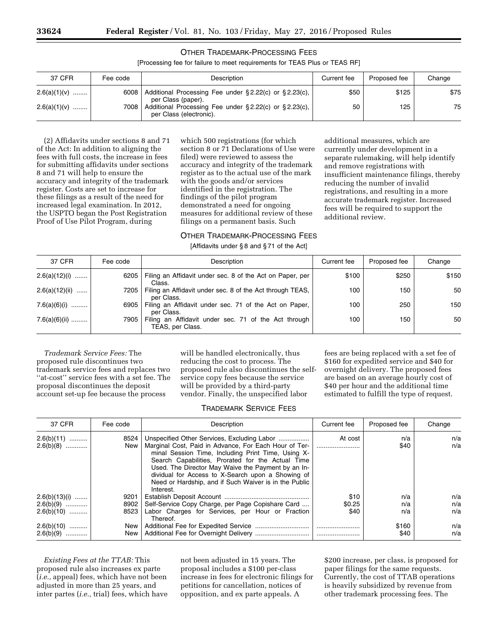# OTHER TRADEMARK-PROCESSING FEES

[Processing fee for failure to meet requirements for TEAS Plus or TEAS RF]

| 37 CFR         | Fee code | Description                                                                      | Current fee | Proposed fee | Change |
|----------------|----------|----------------------------------------------------------------------------------|-------------|--------------|--------|
| $2.6(a)(1)(v)$ | 6008     | Additional Processing Fee under §2.22(c) or §2.23(c),<br>per Class (paper).      | \$50        | \$125        | \$75   |
| $2.6(a)(1)(v)$ | 7008     | Additional Processing Fee under §2.22(c) or §2.23(c),<br>per Class (electronic). | 50          | 125          | 75     |

(2) Affidavits under sections 8 and 71 of the Act: In addition to aligning the fees with full costs, the increase in fees for submitting affidavits under sections 8 and 71 will help to ensure the accuracy and integrity of the trademark register. Costs are set to increase for these filings as a result of the need for increased legal examination. In 2012, the USPTO began the Post Registration Proof of Use Pilot Program, during

which 500 registrations (for which section 8 or 71 Declarations of Use were filed) were reviewed to assess the accuracy and integrity of the trademark register as to the actual use of the mark with the goods and/or services identified in the registration. The findings of the pilot program demonstrated a need for ongoing measures for additional review of these filings on a permanent basis. Such

registrations, and resulting in a more accurate trademark register. Increased fees will be required to support the additional review.

additional measures, which are currently under development in a separate rulemaking, will help identify

and remove registrations with

reducing the number of invalid

insufficient maintenance filings, thereby

# OTHER TRADEMARK-PROCESSING FEES

[Affidavits under § 8 and § 71 of the Act]

| 37 CFR           | Fee code | Description                                                              | Current fee | Proposed fee | Change |
|------------------|----------|--------------------------------------------------------------------------|-------------|--------------|--------|
| $2.6(a)(12)(i)$  | 6205     | Filing an Affidavit under sec. 8 of the Act on Paper, per<br>Class.      | \$100       | \$250        | \$150  |
| $2.6(a)(12)(ii)$ | 7205     | Filing an Affidavit under sec. 8 of the Act through TEAS,<br>per Class.  | 100         | 150          | 50     |
| 7.6(a)(6)(i)     | 6905     | Filing an Affidavit under sec. 71 of the Act on Paper,<br>per Class.     | 100         | 250          | 150    |
| 7.6(a)(6)(ii)    | 7905     | Filing an Affidavit under sec. 71 of the Act through<br>TEAS, per Class. | 100         | 150          | 50     |

*Trademark Service Fees:* The proposed rule discontinues two trademark service fees and replaces two ''at-cost'' service fees with a set fee. The proposal discontinues the deposit account set-up fee because the process

will be handled electronically, thus reducing the cost to process. The proposed rule also discontinues the selfservice copy fees because the service will be provided by a third-party vendor. Finally, the unspecified labor

fees are being replaced with a set fee of \$160 for expedited service and \$40 for overnight delivery. The proposed fees are based on an average hourly cost of \$40 per hour and the additional time estimated to fulfill the type of request.

# TRADEMARK SERVICE FEES

| 37 CFR                                         | Fee code             | Description                                                                                                                                                                                                                                                                                                                                                                                      | Current fee            | Proposed fee      | Change            |
|------------------------------------------------|----------------------|--------------------------------------------------------------------------------------------------------------------------------------------------------------------------------------------------------------------------------------------------------------------------------------------------------------------------------------------------------------------------------------------------|------------------------|-------------------|-------------------|
| $2.6(b)(11)$<br>$2.6(b)(8)$                    | 8524<br>New          | Unspecified Other Services, Excluding Labor<br>Marginal Cost, Paid in Advance, For Each Hour of Ter-<br>minal Session Time, Including Print Time, Using X-<br>Search Capabilities, Prorated for the Actual Time<br>Used. The Director May Waive the Payment by an In-<br>dividual for Access to X-Search upon a Showing of<br>Need or Hardship, and if Such Waiver is in the Public<br>Interest. | At cost                | n/a<br>\$40       | n/a<br>n/a        |
| $2.6(b)(13)(i)$<br>$2.6(b)(9)$<br>$2.6(b)(10)$ | 9201<br>8902<br>8523 | Self-Service Copy Charge, per Page Copishare Card<br>Labor Charges for Services, per Hour or Fraction                                                                                                                                                                                                                                                                                            | \$10<br>\$0.25<br>\$40 | n/a<br>n/a<br>n/a | n/a<br>n/a<br>n/a |
| $2.6(b)(10)$<br>$2.6(b)(9)$                    | New<br>New           | Thereof.                                                                                                                                                                                                                                                                                                                                                                                         |                        | \$160<br>\$40     | n/a<br>n/a        |

*Existing Fees at the TTAB:* This proposed rule also increases ex parte (*i.e.,* appeal) fees, which have not been adjusted in more than 25 years, and inter partes (*i.e.,* trial) fees, which have not been adjusted in 15 years. The proposal includes a \$100 per-class increase in fees for electronic filings for petitions for cancellation, notices of opposition, and ex parte appeals. A

\$200 increase, per class, is proposed for paper filings for the same requests. Currently, the cost of TTAB operations is heavily subsidized by revenue from other trademark processing fees. The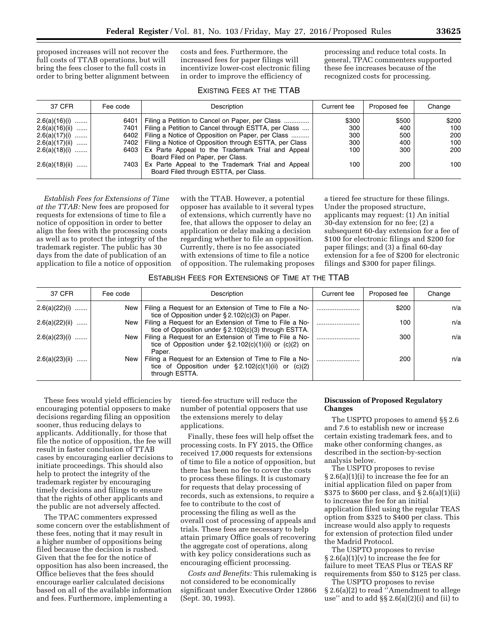proposed increases will not recover the full costs of TTAB operations, but will bring the fees closer to the full costs in order to bring better alignment between

costs and fees. Furthermore, the increased fees for paper filings will incentivize lower-cost electronic filing in order to improve the efficiency of

processing and reduce total costs. In general, TPAC commenters supported these fee increases because of the recognized costs for processing.

| 37 CFR           | Fee code | Description                                                                                | Current fee | Proposed fee | Change |
|------------------|----------|--------------------------------------------------------------------------------------------|-------------|--------------|--------|
| $2.6(a)(16)(i)$  | 6401     | Filing a Petition to Cancel on Paper, per Class                                            | \$300       | \$500        | \$200  |
| $2.6(a)(16)(ii)$ | 7401     | Filing a Petition to Cancel through ESTTA, per Class                                       | 300         | 400          | 100    |
| $2.6(a)(17)(i)$  |          | 6402   Filing a Notice of Opposition on Paper, per Class                                   | 300         | 500          | 200    |
| $2.6(a)(17)(ii)$ |          | 7402   Filing a Notice of Opposition through ESTTA, per Class                              | 300         | 400          | 100    |
| $2.6(a)(18)(i)$  |          | 6403 Ex Parte Appeal to the Trademark Trial and Appeal                                     | 100         | 300          | 200    |
|                  |          | Board Filed on Paper, per Class.                                                           |             |              |        |
| $2.6(a)(18)(ii)$ | 7403     | Ex Parte Appeal to the Trademark Trial and Appeal<br>Board Filed through ESTTA, per Class. | 100         | 200          | 100    |

*Establish Fees for Extensions of Time at the TTAB:* New fees are proposed for requests for extensions of time to file a notice of opposition in order to better align the fees with the processing costs as well as to protect the integrity of the trademark register. The public has 30 days from the date of publication of an application to file a notice of opposition

with the TTAB. However, a potential opposer has available to it several types of extensions, which currently have no fee, that allows the opposer to delay an application or delay making a decision regarding whether to file an opposition. Currently, there is no fee associated with extensions of time to file a notice of opposition. The rulemaking proposes

a tiered fee structure for these filings. Under the proposed structure, applicants may request: (1) An initial 30-day extension for no fee; (2) a subsequent 60-day extension for a fee of \$100 for electronic filings and \$200 for paper filings; and (3) a final 60-day extension for a fee of \$200 for electronic filings and \$300 for paper filings.

## ESTABLISH FEES FOR EXTENSIONS OF TIME AT THE TTAB

| 37 CFR           | Fee code | Description                                                                                                                            | Current fee | Proposed fee | Change |
|------------------|----------|----------------------------------------------------------------------------------------------------------------------------------------|-------------|--------------|--------|
| $2.6(a)(22)(i)$  | New      | Filing a Request for an Extension of Time to File a No-<br>tice of Opposition under $\S 2.102(c)(3)$ on Paper.                         |             | \$200        | n/a    |
| $2.6(a)(22)(ii)$ | New      | Filing a Request for an Extension of Time to File a No-<br>tice of Opposition under $\S 2.102(c)(3)$ through ESTTA.                    |             | 100          | n/a    |
| $2.6(a)(23)(i)$  | New      | Filing a Request for an Extension of Time to File a No-<br>tice of Opposition under $\S 2.102(c)(1)(ii)$ or $(c)(2)$ on<br>Paper.      |             | 300          | n/a    |
| $2.6(a)(23)(ii)$ | New      | Filing a Request for an Extension of Time to File a No-<br>tice of Opposition under $\S 2.102(c)(1)(ii)$ or $(c)(2)$<br>through ESTTA. |             | 200          | n/a    |

These fees would yield efficiencies by encouraging potential opposers to make decisions regarding filing an opposition sooner, thus reducing delays to applicants. Additionally, for those that file the notice of opposition, the fee will result in faster conclusion of TTAB cases by encouraging earlier decisions to initiate proceedings. This should also help to protect the integrity of the trademark register by encouraging timely decisions and filings to ensure that the rights of other applicants and the public are not adversely affected.

The TPAC commenters expressed some concern over the establishment of these fees, noting that it may result in a higher number of oppositions being filed because the decision is rushed. Given that the fee for the notice of opposition has also been increased, the Office believes that the fees should encourage earlier calculated decisions based on all of the available information and fees. Furthermore, implementing a

tiered-fee structure will reduce the number of potential opposers that use the extensions merely to delay applications.

Finally, these fees will help offset the processing costs. In FY 2015, the Office received 17,000 requests for extensions of time to file a notice of opposition, but there has been no fee to cover the costs to process these filings. It is customary for requests that delay processing of records, such as extensions, to require a fee to contribute to the cost of processing the filing as well as the overall cost of processing of appeals and trials. These fees are necessary to help attain primary Office goals of recovering the aggregate cost of operations, along with key policy considerations such as encouraging efficient processing.

*Costs and Benefits:* This rulemaking is not considered to be economically significant under Executive Order 12866 (Sept. 30, 1993).

## **Discussion of Proposed Regulatory Changes**

The USPTO proposes to amend §§ 2.6 and 7.6 to establish new or increase certain existing trademark fees, and to make other conforming changes, as described in the section-by-section analysis below.

The USPTO proposes to revise § 2.6(a)(1)(i) to increase the fee for an initial application filed on paper from \$375 to \$600 per class, and § 2.6(a)(1)(ii) to increase the fee for an initial application filed using the regular TEAS option from \$325 to \$400 per class. This increase would also apply to requests for extension of protection filed under the Madrid Protocol.

The USPTO proposes to revise  $§ 2.6(a)(1)(v)$  to increase the fee for failure to meet TEAS Plus or TEAS RF requirements from \$50 to \$125 per class.

The USPTO proposes to revise § 2.6(a)(2) to read ''Amendment to allege use" and to add  $\S\S 2.6(a)(2)(i)$  and (ii) to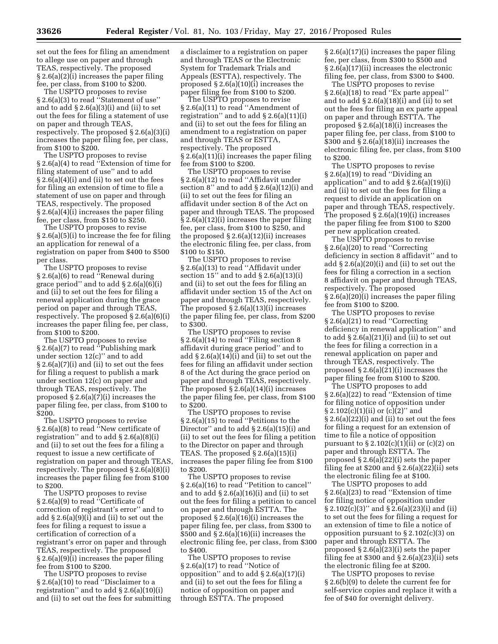set out the fees for filing an amendment to allege use on paper and through TEAS, respectively. The proposed § 2.6(a)(2)(i) increases the paper filing fee, per class, from \$100 to \$200.

The USPTO proposes to revise § 2.6(a)(3) to read ''Statement of use'' and to add  $\S 2.6(a)(3)(i)$  and (ii) to set out the fees for filing a statement of use on paper and through TEAS, respectively. The proposed § 2.6(a)(3)(i) increases the paper filing fee, per class, from \$100 to \$200.

The USPTO proposes to revise § 2.6(a)(4) to read ''Extension of time for filing statement of use'' and to add § 2.6(a)(4)(i) and (ii) to set out the fees for filing an extension of time to file a statement of use on paper and through TEAS, respectively. The proposed § 2.6(a)(4)(i) increases the paper filing fee, per class, from \$150 to \$250.

The USPTO proposes to revise § 2.6(a)(5)(i) to increase the fee for filing an application for renewal of a registration on paper from \$400 to \$500 per class.

The USPTO proposes to revise § 2.6(a)(6) to read ''Renewal during grace period'' and to add § 2.6(a)(6)(i) and (ii) to set out the fees for filing a renewal application during the grace period on paper and through TEAS, respectively. The proposed § 2.6(a)(6)(i) increases the paper filing fee, per class, from \$100 to \$200.

The USPTO proposes to revise § 2.6(a)(7) to read ''Publishing mark under section 12(c)'' and to add § 2.6(a)(7)(i) and (ii) to set out the fees for filing a request to publish a mark under section 12(c) on paper and through TEAS, respectively. The proposed  $\S 2.6(a)(7)(i)$  increases the paper filing fee, per class, from \$100 to \$200.

The USPTO proposes to revise § 2.6(a)(8) to read ''New certificate of registration'' and to add § 2.6(a)(8)(i) and (ii) to set out the fees for a filing a request to issue a new certificate of registration on paper and through TEAS, respectively. The proposed § 2.6(a)(8)(i) increases the paper filing fee from \$100 to \$200.

The USPTO proposes to revise § 2.6(a)(9) to read "Certificate of correction of registrant's error'' and to add § 2.6(a)(9)(i) and (ii) to set out the fees for filing a request to issue a certification of correction of a registrant's error on paper and through TEAS, respectively. The proposed § 2.6(a)(9)(i) increases the paper filing fee from \$100 to \$200.

The USPTO proposes to revise § 2.6(a)(10) to read ''Disclaimer to a registration" and to add  $\S 2.6(a)(10)(i)$ and (ii) to set out the fees for submitting a disclaimer to a registration on paper and through TEAS or the Electronic System for Trademark Trials and Appeals (ESTTA), respectively. The proposed  $\S 2.6(a)(10)(i)$  increases the paper filing fee from \$100 to \$200.

The USPTO proposes to revise § 2.6(a)(11) to read ''Amendment of registration" and to add  $\S 2.6(a)(11)(i)$ and (ii) to set out the fees for filing an amendment to a registration on paper and through TEAS or ESTTA, respectively. The proposed § 2.6(a)(11)(i) increases the paper filing fee from \$100 to \$200.

The USPTO proposes to revise § 2.6(a)(12) to read ''Affidavit under section 8" and to add  $\S 2.6(a)(12)(i)$  and (ii) to set out the fees for filing an affidavit under section 8 of the Act on paper and through TEAS. The proposed § 2.6(a)(12)(i) increases the paper filing fee, per class, from \$100 to \$250, and the proposed  $\S 2.6(a)(12)(ii)$  increases the electronic filing fee, per class, from \$100 to \$150.

The USPTO proposes to revise § 2.6(a)(13) to read ''Affidavit under section  $15$ " and to add  $\S 2.6(a)(13)(i)$ and (ii) to set out the fees for filing an affidavit under section 15 of the Act on paper and through TEAS, respectively. The proposed § 2.6(a)(13)(i) increases the paper filing fee, per class, from \$200 to \$300.

The USPTO proposes to revise § 2.6(a)(14) to read ''Filing section 8 affidavit during grace period'' and to add  $\S 2.6(a)(14)(i)$  and (ii) to set out the fees for filing an affidavit under section 8 of the Act during the grace period on paper and through TEAS, respectively. The proposed  $\S 2.6(a)(14)(i)$  increases the paper filing fee, per class, from \$100 to \$200.

The USPTO proposes to revise § 2.6(a)(15) to read ''Petitions to the Director'' and to add § 2.6(a)(15)(i) and (ii) to set out the fees for filing a petition to the Director on paper and through TEAS. The proposed  $\S 2.6(a)(15)(i)$ increases the paper filing fee from \$100 to \$200.

The USPTO proposes to revise § 2.6(a)(16) to read ''Petition to cancel'' and to add  $\S 2.6(a)(16)(i)$  and (ii) to set out the fees for filing a petition to cancel on paper and through ESTTA. The proposed  $\S 2.6(a)(16)(i)$  increases the paper filing fee, per class, from \$300 to \$500 and  $\S 2.6(a)(16)(ii)$  increases the electronic filing fee, per class, from \$300 to \$400.

The USPTO proposes to revise § 2.6(a)(17) to read ''Notice of opposition" and to add  $\S 2.6(a)(17)(i)$ and (ii) to set out the fees for filing a notice of opposition on paper and through ESTTA. The proposed

§ 2.6(a)(17)(i) increases the paper filing fee, per class, from \$300 to \$500 and § 2.6(a)(17)(ii) increases the electronic filing fee, per class, from \$300 to \$400.

The USPTO proposes to revise § 2.6(a)(18) to read ''Ex parte appeal'' and to add  $\S 2.6(a)(18)(i)$  and (ii) to set out the fees for filing an ex parte appeal on paper and through ESTTA. The proposed § 2.6(a)(18)(i) increases the paper filing fee, per class, from \$100 to \$300 and  $\S 2.6(a)(18)(ii)$  increases the electronic filing fee, per class, from \$100 to \$200.

The USPTO proposes to revise § 2.6(a)(19) to read ''Dividing an application" and to add  $\S 2.6(a)(19)(i)$ and (ii) to set out the fees for filing a request to divide an application on paper and through TEAS, respectively. The proposed § 2.6(a)(19)(i) increases the paper filing fee from \$100 to \$200 per new application created.

The USPTO proposes to revise § 2.6(a)(20) to read ''Correcting deficiency in section 8 affidavit'' and to add  $\S 2.6(a)(20)(i)$  and (ii) to set out the fees for filing a correction in a section 8 affidavit on paper and through TEAS, respectively. The proposed § 2.6(a)(20)(i) increases the paper filing fee from \$100 to \$200.

The USPTO proposes to revise § 2.6(a)(21) to read ''Correcting deficiency in renewal application'' and to add  $\S 2.6(a)(21)(i)$  and (ii) to set out the fees for filing a correction in a renewal application on paper and through TEAS, respectively. The proposed  $\S 2.6(a)(21)(i)$  increases the paper filing fee from \$100 to \$200.

The USPTO proposes to add § 2.6(a)(22) to read ''Extension of time for filing notice of opposition under  $\S 2.102(c)(1)(ii)$  or  $(c)(2)'$  and § 2.6(a)(22)(i) and (ii) to set out the fees for filing a request for an extension of time to file a notice of opposition pursuant to  $\S 2.102(c)(1)(ii)$  or  $(c)(2)$  on paper and through ESTTA. The proposed  $\S 2.6(a)(22)(i)$  sets the paper filing fee at  $$200$  and  $$2.6(a)(22)(ii)$  sets the electronic filing fee at \$100.

The USPTO proposes to add § 2.6(a)(23) to read ''Extension of time for filing notice of opposition under  $\S 2.102(c)(3)$ " and  $\S 2.6(a)(23)(i)$  and (ii) to set out the fees for filing a request for an extension of time to file a notice of opposition pursuant to § 2.102(c)(3) on paper and through ESTTA. The proposed § 2.6(a)(23)(i) sets the paper filing fee at  $$300$  and  $$2.6(a)(23)(ii)$  sets the electronic filing fee at \$200.

The USPTO proposes to revise § 2.6(b)(9) to delete the current fee for self-service copies and replace it with a fee of \$40 for overnight delivery.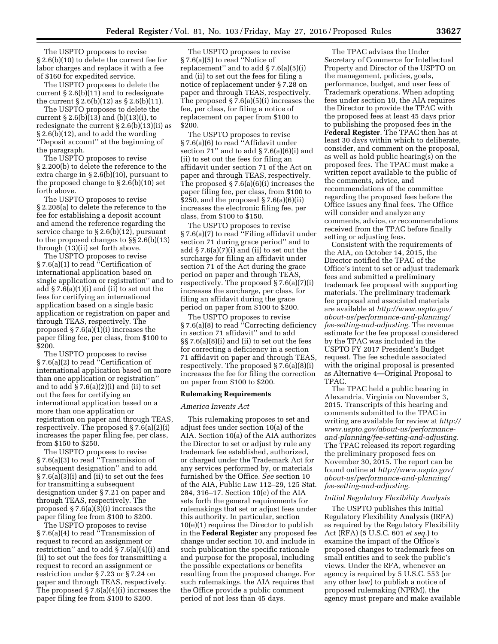The USPTO proposes to revise § 2.6(b)(10) to delete the current fee for labor charges and replace it with a fee of \$160 for expedited service.

The USPTO proposes to delete the current § 2.6(b)(11) and to redesignate the current  $\S 2.6(b)(12)$  as  $\S 2.6(b)(11)$ .

The USPTO proposes to delete the current  $\S 2.6(b)(13)$  and  $(b)(13)(i)$ , to redesignate the current § 2.6(b)(13)(ii) as § 2.6(b)(12), and to add the wording ''Deposit account'' at the beginning of the paragraph.

The USPTO proposes to revise § 2.200(b) to delete the reference to the extra charge in § 2.6(b)(10), pursuant to the proposed change to § 2.6(b)(10) set forth above.

The USPTO proposes to revise § 2.208(a) to delete the reference to the fee for establishing a deposit account and amend the reference regarding the service charge to § 2.6(b)(12), pursuant to the proposed changes to §§ 2.6(b)(13) through (13)(ii) set forth above.

The USPTO proposes to revise § 7.6(a)(1) to read "Certification of international application based on single application or registration'' and to add § 7.6(a)(1)(i) and (ii) to set out the fees for certifying an international application based on a single basic application or registration on paper and through TEAS, respectively. The proposed  $\S 7.6(a)(1)(i)$  increases the paper filing fee, per class, from \$100 to \$200.

The USPTO proposes to revise § 7.6(a)(2) to read ''Certification of international application based on more than one application or registration'' and to add § 7.6(a)(2)(i) and (ii) to set out the fees for certifying an international application based on a more than one application or registration on paper and through TEAS, respectively. The proposed § 7.6(a)(2)(i) increases the paper filing fee, per class, from \$150 to \$250.

The USPTO proposes to revise § 7.6(a)(3) to read "Transmission of subsequent designation'' and to add § 7.6(a)(3)(i) and (ii) to set out the fees for transmitting a subsequent designation under § 7.21 on paper and through TEAS, respectively. The proposed  $\S 7.6(a)(3)(i)$  increases the paper filing fee from \$100 to \$200.

The USPTO proposes to revise § 7.6(a)(4) to read ''Transmission of request to record an assignment or restriction'' and to add § 7.6(a)(4)(i) and (ii) to set out the fees for transmitting a request to record an assignment or restriction under § 7.23 or § 7.24 on paper and through TEAS, respectively. The proposed § 7.6(a)(4)(i) increases the paper filing fee from \$100 to \$200.

The USPTO proposes to revise § 7.6(a)(5) to read ''Notice of replacement" and to add  $\S 7.6(a)(5)(i)$ and (ii) to set out the fees for filing a notice of replacement under § 7.28 on paper and through TEAS, respectively. The proposed § 7.6(a)(5)(i) increases the fee, per class, for filing a notice of replacement on paper from \$100 to \$200.

The USPTO proposes to revise § 7.6(a)(6) to read ''Affidavit under section 71" and to add  $\S 7.6(a)(6)(i)$  and (ii) to set out the fees for filing an affidavit under section 71 of the Act on paper and through TEAS, respectively. The proposed  $\S 7.6(a)(6)(i)$  increases the paper filing fee, per class, from \$100 to  $$250$ , and the proposed  $$7.6(a)(6)(ii)$ increases the electronic filing fee, per class, from \$100 to \$150.

The USPTO proposes to revise § 7.6(a)(7) to read ''Filing affidavit under section 71 during grace period'' and to add § 7.6(a)(7)(i) and (ii) to set out the surcharge for filing an affidavit under section 71 of the Act during the grace period on paper and through TEAS, respectively. The proposed § 7.6(a)(7)(i) increases the surcharge, per class, for filing an affidavit during the grace period on paper from \$100 to \$200.

The USPTO proposes to revise § 7.6(a)(8) to read ''Correcting deficiency in section 71 affidavit'' and to add §§ 7.6(a)(8)(i) and (ii) to set out the fees for correcting a deficiency in a section 71 affidavit on paper and through TEAS, respectively. The proposed § 7.6(a)(8)(i) increases the fee for filing the correction on paper from \$100 to \$200.

#### **Rulemaking Requirements**

#### *America Invents Act*

This rulemaking proposes to set and adjust fees under section 10(a) of the AIA. Section 10(a) of the AIA authorizes the Director to set or adjust by rule any trademark fee established, authorized, or charged under the Trademark Act for any services performed by, or materials furnished by the Office. *See* section 10 of the AIA, Public Law 112–29, 125 Stat. 284, 316–17. Section 10(e) of the AIA sets forth the general requirements for rulemakings that set or adjust fees under this authority. In particular, section 10(e)(1) requires the Director to publish in the **Federal Register** any proposed fee change under section 10, and include in such publication the specific rationale and purpose for the proposal, including the possible expectations or benefits resulting from the proposed change. For such rulemakings, the AIA requires that the Office provide a public comment period of not less than 45 days.

The TPAC advises the Under Secretary of Commerce for Intellectual Property and Director of the USPTO on the management, policies, goals, performance, budget, and user fees of Trademark operations. When adopting fees under section 10, the AIA requires the Director to provide the TPAC with the proposed fees at least 45 days prior to publishing the proposed fees in the **Federal Register**. The TPAC then has at least 30 days within which to deliberate, consider, and comment on the proposal, as well as hold public hearing(s) on the proposed fees. The TPAC must make a written report available to the public of the comments, advice, and recommendations of the committee regarding the proposed fees before the Office issues any final fees. The Office will consider and analyze any comments, advice, or recommendations received from the TPAC before finally setting or adjusting fees.

Consistent with the requirements of the AIA, on October 14, 2015, the Director notified the TPAC of the Office's intent to set or adjust trademark fees and submitted a preliminary trademark fee proposal with supporting materials. The preliminary trademark fee proposal and associated materials are available at *[http://www.uspto.gov/](http://www.uspto.gov/about-us/performance-and-planning/fee-setting-and-adjusting) [about-us/performance-and-planning/](http://www.uspto.gov/about-us/performance-and-planning/fee-setting-and-adjusting) [fee-setting-and-adjusting.](http://www.uspto.gov/about-us/performance-and-planning/fee-setting-and-adjusting)* The revenue estimate for the fee proposal considered by the TPAC was included in the USPTO FY 2017 President's Budget request. The fee schedule associated with the original proposal is presented as Alternative 4—Original Proposal to TPAC.

The TPAC held a public hearing in Alexandria, Virginia on November 3, 2015. Transcripts of this hearing and comments submitted to the TPAC in writing are available for review at *[http://](http://www.uspto.gov/about-us/performance-and-planning/fee-setting-and-adjusting)  [www.uspto.gov/about-us/performance](http://www.uspto.gov/about-us/performance-and-planning/fee-setting-and-adjusting)[and-planning/fee-setting-and-adjusting.](http://www.uspto.gov/about-us/performance-and-planning/fee-setting-and-adjusting)*  The TPAC released its report regarding the preliminary proposed fees on November 30, 2015. The report can be found online at *[http://www.uspto.gov/](http://www.uspto.gov/about-us/performance-and-planning/fee-setting-and-adjusting) [about-us/performance-and-planning/](http://www.uspto.gov/about-us/performance-and-planning/fee-setting-and-adjusting) [fee-setting-and-adjusting.](http://www.uspto.gov/about-us/performance-and-planning/fee-setting-and-adjusting)* 

## *Initial Regulatory Flexibility Analysis*

The USPTO publishes this Initial Regulatory Flexibility Analysis (IRFA) as required by the Regulatory Flexibility Act (RFA) (5 U.S.C. 601 *et seq.*) to examine the impact of the Office's proposed changes to trademark fees on small entities and to seek the public's views. Under the RFA, whenever an agency is required by 5 U.S.C. 553 (or any other law) to publish a notice of proposed rulemaking (NPRM), the agency must prepare and make available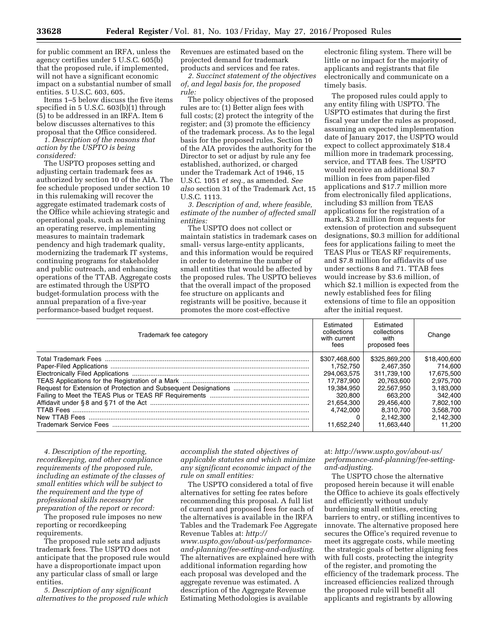for public comment an IRFA, unless the agency certifies under 5 U.S.C. 605(b) that the proposed rule, if implemented, will not have a significant economic impact on a substantial number of small entities. 5 U.S.C. 603, 605.

Items 1–5 below discuss the five items specified in 5 U.S.C. 603(b)(1) through (5) to be addressed in an IRFA. Item 6 below discusses alternatives to this proposal that the Office considered.

*1. Description of the reasons that action by the USPTO is being considered:* 

The USPTO proposes setting and adjusting certain trademark fees as authorized by section 10 of the AIA. The fee schedule proposed under section 10 in this rulemaking will recover the aggregate estimated trademark costs of the Office while achieving strategic and operational goals, such as maintaining an operating reserve, implementing measures to maintain trademark pendency and high trademark quality, modernizing the trademark IT systems, continuing programs for stakeholder and public outreach, and enhancing operations of the TTAB. Aggregate costs are estimated through the USPTO budget-formulation process with the annual preparation of a five-year performance-based budget request.

Revenues are estimated based on the projected demand for trademark products and services and fee rates.

*2. Succinct statement of the objectives of, and legal basis for, the proposed rule:* 

The policy objectives of the proposed rules are to: (1) Better align fees with full costs; (2) protect the integrity of the register; and (3) promote the efficiency of the trademark process. As to the legal basis for the proposed rules, Section 10 of the AIA provides the authority for the Director to set or adjust by rule any fee established, authorized, or charged under the Trademark Act of 1946, 15 U.S.C. 1051 *et seq.,* as amended. *See also* section 31 of the Trademark Act, 15 U.S.C. 1113.

*3. Description of and, where feasible, estimate of the number of affected small entities:* 

The USPTO does not collect or maintain statistics in trademark cases on small- versus large-entity applicants, and this information would be required in order to determine the number of small entities that would be affected by the proposed rules. The USPTO believes that the overall impact of the proposed fee structure on applicants and registrants will be positive, because it promotes the more cost-effective

electronic filing system. There will be little or no impact for the majority of applicants and registrants that file electronically and communicate on a timely basis.

The proposed rules could apply to any entity filing with USPTO. The USPTO estimates that during the first fiscal year under the rules as proposed, assuming an expected implementation date of January 2017, the USPTO would expect to collect approximately \$18.4 million more in trademark processing, service, and TTAB fees. The USPTO would receive an additional \$0.7 million in fees from paper-filed applications and \$17.7 million more from electronically filed applications, including \$3 million from TEAS applications for the registration of a mark, \$3.2 million from requests for extension of protection and subsequent designations, \$0.3 million for additional fees for applications failing to meet the TEAS Plus or TEAS RF requirements, and \$7.8 million for affidavits of use under sections 8 and 71. TTAB fees would increase by \$3.6 million, of which \$2.1 million is expected from the newly established fees for filing extensions of time to file an opposition after the initial request.

| Trademark fee category | Estimated<br>collections<br>with current<br>fees | Fstimated<br>collections<br>with<br>proposed fees | Change       |
|------------------------|--------------------------------------------------|---------------------------------------------------|--------------|
|                        | \$307.468.600                                    | \$325,869,200                                     | \$18,400,600 |
|                        | 1.752.750                                        | 2.467.350                                         | 714.600      |
|                        | 294.063.575                                      | 311.739.100                                       | 17.675.500   |
|                        | 17.787.900                                       | 20.763.600                                        | 2.975.700    |
|                        | 19.384.950                                       | 22.567.950                                        | 3.183.000    |
|                        | 320.800                                          | 663.200                                           | 342.400      |
|                        | 21.654.300                                       | 29.456.400                                        | 7.802.100    |
|                        | 4.742.000                                        | 8.310.700                                         | 3.568.700    |
| New TTAB Fees          |                                                  | 2.142.300                                         | 2.142.300    |
|                        | 11.652.240                                       | 11.663.440                                        | 11.200       |

*4. Description of the reporting, recordkeeping, and other compliance requirements of the proposed rule, including an estimate of the classes of small entities which will be subject to the requirement and the type of professional skills necessary for preparation of the report or record:* 

The proposed rule imposes no new reporting or recordkeeping requirements.

The proposed rule sets and adjusts trademark fees. The USPTO does not anticipate that the proposed rule would have a disproportionate impact upon any particular class of small or large entities.

*5. Description of any significant alternatives to the proposed rule which* 

*accomplish the stated objectives of applicable statutes and which minimize any significant economic impact of the rule on small entities:* 

The USPTO considered a total of five alternatives for setting fee rates before recommending this proposal. A full list of current and proposed fees for each of the alternatives is available in the IRFA Tables and the Trademark Fee Aggregate Revenue Tables at: *[http://](http://www.uspto.gov/about-us/performance-and-planning/fee-setting-and-adjusting) [www.uspto.gov/about-us/performance](http://www.uspto.gov/about-us/performance-and-planning/fee-setting-and-adjusting)[and-planning/fee-setting-and-adjusting.](http://www.uspto.gov/about-us/performance-and-planning/fee-setting-and-adjusting)*  The alternatives are explained here with additional information regarding how each proposal was developed and the aggregate revenue was estimated. A description of the Aggregate Revenue Estimating Methodologies is available

# at: *[http://www.uspto.gov/about-us/](http://www.uspto.gov/about-us/performance-and-planning/fee-setting-and-adjusting) [performance-and-planning/fee-setting](http://www.uspto.gov/about-us/performance-and-planning/fee-setting-and-adjusting)[and-adjusting.](http://www.uspto.gov/about-us/performance-and-planning/fee-setting-and-adjusting)*

The USPTO chose the alternative proposed herein because it will enable the Office to achieve its goals effectively and efficiently without unduly burdening small entities, erecting barriers to entry, or stifling incentives to innovate. The alternative proposed here secures the Office's required revenue to meet its aggregate costs, while meeting the strategic goals of better aligning fees with full costs, protecting the integrity of the register, and promoting the efficiency of the trademark process. The increased efficiencies realized through the proposed rule will benefit all applicants and registrants by allowing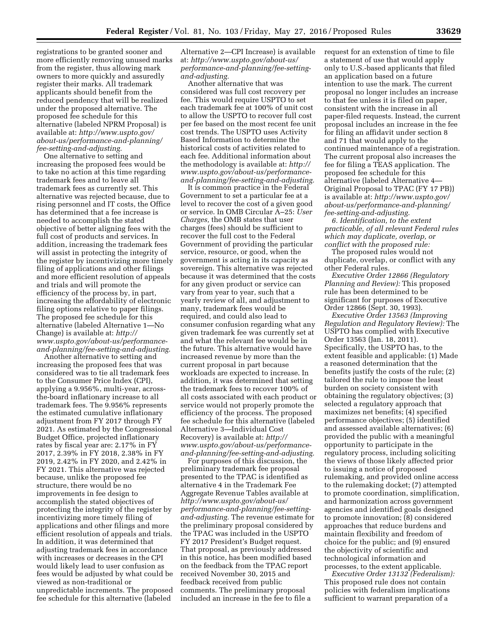registrations to be granted sooner and more efficiently removing unused marks from the register, thus allowing mark owners to more quickly and assuredly register their marks. All trademark applicants should benefit from the reduced pendency that will be realized under the proposed alternative. The proposed fee schedule for this alternative (labeled NPRM Proposal) is available at: *[http://www.uspto.gov/](http://www.uspto.gov/about-us/performance-and-planning/fee-setting-and-adjusting) [about-us/performance-and-planning/](http://www.uspto.gov/about-us/performance-and-planning/fee-setting-and-adjusting) [fee-setting-and-adjusting.](http://www.uspto.gov/about-us/performance-and-planning/fee-setting-and-adjusting)* 

One alternative to setting and increasing the proposed fees would be to take no action at this time regarding trademark fees and to leave all trademark fees as currently set. This alternative was rejected because, due to rising personnel and IT costs, the Office has determined that a fee increase is needed to accomplish the stated objective of better aligning fees with the full cost of products and services. In addition, increasing the trademark fees will assist in protecting the integrity of the register by incentivizing more timely filing of applications and other filings and more efficient resolution of appeals and trials and will promote the efficiency of the process by, in part, increasing the affordability of electronic filing options relative to paper filings. The proposed fee schedule for this alternative (labeled Alternative 1—No Change) is available at: *[http://](http://www.uspto.gov/about-us/performance-and-planning/fee-setting-and-adjusting) [www.uspto.gov/about-us/performance](http://www.uspto.gov/about-us/performance-and-planning/fee-setting-and-adjusting)[and-planning/fee-setting-and-adjusting.](http://www.uspto.gov/about-us/performance-and-planning/fee-setting-and-adjusting)* 

Another alternative to setting and increasing the proposed fees that was considered was to tie all trademark fees to the Consumer Price Index (CPI), applying a 9.956%, multi-year, acrossthe-board inflationary increase to all trademark fees. The 9.956% represents the estimated cumulative inflationary adjustment from FY 2017 through FY 2021. As estimated by the Congressional Budget Office, projected inflationary rates by fiscal year are: 2.17% in FY 2017, 2.39% in FY 2018, 2.38% in FY 2019, 2.42% in FY 2020, and 2.42% in FY 2021. This alternative was rejected because, unlike the proposed fee structure, there would be no improvements in fee design to accomplish the stated objectives of protecting the integrity of the register by incentivizing more timely filing of applications and other filings and more efficient resolution of appeals and trials. In addition, it was determined that adjusting trademark fees in accordance with increases or decreases in the CPI would likely lead to user confusion as fees would be adjusted by what could be viewed as non-traditional or unpredictable increments. The proposed fee schedule for this alternative (labeled

Alternative 2—CPI Increase) is available at: *[http://www.uspto.gov/about-us/](http://www.uspto.gov/about-us/performance-and-planning/fee-setting-and-adjusting) [performance-and-planning/fee-setting](http://www.uspto.gov/about-us/performance-and-planning/fee-setting-and-adjusting)[and-adjusting.](http://www.uspto.gov/about-us/performance-and-planning/fee-setting-and-adjusting)* 

Another alternative that was considered was full cost recovery per fee. This would require USPTO to set each trademark fee at 100% of unit cost to allow the USPTO to recover full cost per fee based on the most recent fee unit cost trends. The USPTO uses Activity Based Information to determine the historical costs of activities related to each fee. Additional information about the methodology is available at: *[http://](http://www.uspto.gov/about-us/performance-and-planning/fee-setting-and-adjusting)  [www.uspto.gov/about-us/performance](http://www.uspto.gov/about-us/performance-and-planning/fee-setting-and-adjusting)[and-planning/fee-setting-and-adjusting.](http://www.uspto.gov/about-us/performance-and-planning/fee-setting-and-adjusting)* 

It is common practice in the Federal Government to set a particular fee at a level to recover the cost of a given good or service. In OMB Circular A–25: *User Charges,* the OMB states that user charges (fees) should be sufficient to recover the full cost to the Federal Government of providing the particular service, resource, or good, when the government is acting in its capacity as sovereign. This alternative was rejected because it was determined that the costs for any given product or service can vary from year to year, such that a yearly review of all, and adjustment to many, trademark fees would be required, and could also lead to consumer confusion regarding what any given trademark fee was currently set at and what the relevant fee would be in the future. This alternative would have increased revenue by more than the current proposal in part because workloads are expected to increase. In addition, it was determined that setting the trademark fees to recover 100% of all costs associated with each product or service would not properly promote the efficiency of the process. The proposed fee schedule for this alternative (labeled Alternative 3—Individual Cost Recovery) is available at: *[http://](http://www.uspto.gov/about-us/performance-and-planning/fee-setting-and-adjusting) [www.uspto.gov/about-us/performance](http://www.uspto.gov/about-us/performance-and-planning/fee-setting-and-adjusting)[and-planning/fee-setting-and-adjusting.](http://www.uspto.gov/about-us/performance-and-planning/fee-setting-and-adjusting)* 

For purposes of this discussion, the preliminary trademark fee proposal presented to the TPAC is identified as alternative 4 in the Trademark Fee Aggregate Revenue Tables available at *[http://www.uspto.gov/about-us/](http://www.uspto.gov/about-us/performance-and-planning/fee-setting-and-adjusting) [performance-and-planning/fee-setting](http://www.uspto.gov/about-us/performance-and-planning/fee-setting-and-adjusting)[and-adjusting.](http://www.uspto.gov/about-us/performance-and-planning/fee-setting-and-adjusting)* The revenue estimate for the preliminary proposal considered by the TPAC was included in the USPTO FY 2017 President's Budget request. That proposal, as previously addressed in this notice, has been modified based on the feedback from the TPAC report received November 30, 2015 and feedback received from public comments. The preliminary proposal included an increase in the fee to file a

request for an extenstion of time to file a statement of use that would apply only to U.S.-based applicants that filed an application based on a future intention to use the mark. The current proposal no longer includes an increase to that fee unless it is filed on paper, consistent with the increase in all paper-filed requests. Instead, the current proposal includes an increase in the fee for filing an affidavit under section 8 and 71 that would apply to the continued maintenance of a registration. The current proposal also increases the fee for filing a TEAS application. The proposed fee schedule for this alternative (labeled Alternative 4— Original Proposal to TPAC (FY 17 PB)) is available at: *[http://www.uspto.gov/](http://www.uspto.gov/about-us/performance-and-planning/fee-setting-and-adjusting) [about-us/performance-and-planning/](http://www.uspto.gov/about-us/performance-and-planning/fee-setting-and-adjusting) [fee-setting-and-adjusting.](http://www.uspto.gov/about-us/performance-and-planning/fee-setting-and-adjusting)* 

*6. Identification, to the extent practicable, of all relevant Federal rules which may duplicate, overlap, or conflict with the proposed rule:* 

The proposed rules would not duplicate, overlap, or conflict with any other Federal rules.

*Executive Order 12866 (Regulatory Planning and Review):* This proposed rule has been determined to be significant for purposes of Executive Order 12866 (Sept. 30, 1993).

*Executive Order 13563 (Improving Regulation and Regulatory Review):* The USPTO has complied with Executive Order 13563 (Jan. 18, 2011). Specifically, the USPTO has, to the extent feasible and applicable: (1) Made a reasoned determination that the benefits justify the costs of the rule; (2) tailored the rule to impose the least burden on society consistent with obtaining the regulatory objectives; (3) selected a regulatory approach that maximizes net benefits; (4) specified performance objectives; (5) identified and assessed available alternatives; (6) provided the public with a meaningful opportunity to participate in the regulatory process, including soliciting the views of those likely affected prior to issuing a notice of proposed rulemaking, and provided online access to the rulemaking docket; (7) attempted to promote coordination, simplification, and harmonization across government agencies and identified goals designed to promote innovation; (8) considered approaches that reduce burdens and maintain flexibility and freedom of choice for the public; and (9) ensured the objectivity of scientific and technological information and processes, to the extent applicable.

*Executive Order 13132 (Federalism):*  This proposed rule does not contain policies with federalism implications sufficient to warrant preparation of a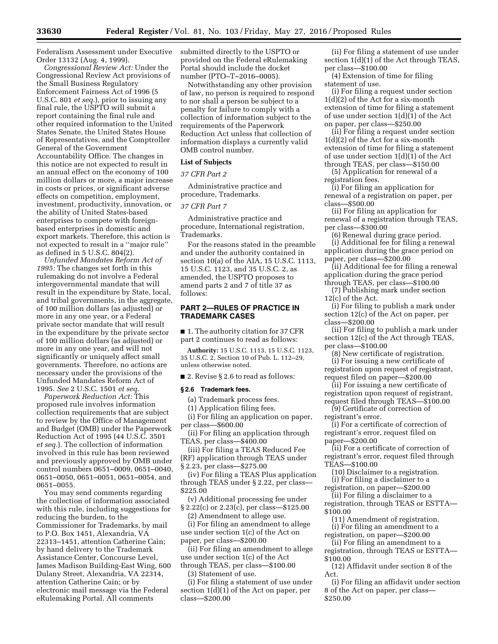Federalism Assessment under Executive Order 13132 (Aug. 4, 1999).

*Congressional Review Act:* Under the Congressional Review Act provisions of the Small Business Regulatory Enforcement Fairness Act of 1996 (5 U.S.C. 801 *et seq.*), prior to issuing any final rule, the USPTO will submit a report containing the final rule and other required information to the United States Senate, the United States House of Representatives, and the Comptroller General of the Government Accountability Office. The changes in this notice are not expected to result in an annual effect on the economy of 100 million dollars or more, a major increase in costs or prices, or significant adverse effects on competition, employment, investment, productivity, innovation, or the ability of United States-based enterprises to compete with foreignbased enterprises in domestic and export markets. Therefore, this action is not expected to result in a ''major rule'' as defined in 5 U.S.C. 804(2).

*Unfunded Mandates Reform Act of 1995:* The changes set forth in this rulemaking do not involve a Federal intergovernmental mandate that will result in the expenditure by State, local, and tribal governments, in the aggregate, of 100 million dollars (as adjusted) or more in any one year, or a Federal private sector mandate that will result in the expenditure by the private sector of 100 million dollars (as adjusted) or more in any one year, and will not significantly or uniquely affect small governments. Therefore, no actions are necessary under the provisions of the Unfunded Mandates Reform Act of 1995. *See* 2 U.S.C. 1501 *et seq.* 

*Paperwork Reduction Act:* This proposed rule involves information collection requirements that are subject to review by the Office of Management and Budget (OMB) under the Paperwork Reduction Act of 1995 (44 U.S.C. 3501 *et seq.*). The collection of information involved in this rule has been reviewed and previously approved by OMB under control numbers 0651–0009, 0651–0040, 0651–0050, 0651–0051, 0651–0054, and 0651–0055.

You may send comments regarding the collection of information associated with this rule, including suggestions for reducing the burden, to the Commissioner for Trademarks, by mail to P.O. Box 1451, Alexandria, VA 22313–1451, attention Catherine Cain; by hand delivery to the Trademark Assistance Center, Concourse Level, James Madison Building-East Wing, 600 Dulany Street, Alexandria, VA 22314, attention Catherine Cain; or by electronic mail message via the Federal eRulemaking Portal. All comments

submitted directly to the USPTO or provided on the Federal eRulemaking Portal should include the docket number (PTO–T–2016–0005).

Notwithstanding any other provision of law, no person is required to respond to nor shall a person be subject to a penalty for failure to comply with a collection of information subject to the requirements of the Paperwork Reduction Act unless that collection of information displays a currently valid OMB control number.

#### **List of Subjects**

## *37 CFR Part 2*

Administrative practice and procedure, Trademarks.

#### *37 CFR Part 7*

Administrative practice and procedure, International registration, Trademarks.

For the reasons stated in the preamble and under the authority contained in section 10(a) of the AIA, 15 U.S.C. 1113, 15 U.S.C. 1123, and 35 U.S.C. 2, as amended, the USPTO proposes to amend parts 2 and 7 of title 37 as follows:

# **PART 2—RULES OF PRACTICE IN TRADEMARK CASES**

■ 1. The authority citation for 37 CFR part 2 continues to read as follows:

**Authority:** 15 U.S.C. 1113, 15 U.S.C. 1123, 35 U.S.C. 2, Section 10 of Pub. L. 112–29, unless otherwise noted.

■ 2. Revise § 2.6 to read as follows:

#### **§ 2.6 Trademark fees.**

(a) Trademark process fees.

(1) Application filing fees.

(i) For filing an application on paper, per class—\$600.00

(ii) For filing an application through TEAS, per class—\$400.00

(iii) For filing a TEAS Reduced Fee (RF) application through TEAS under § 2.23, per class—\$275.00

(iv) For filing a TEAS Plus application through TEAS under § 2.22, per class— \$225.00

(v) Additional processing fee under § 2.22(c) or 2.23(c), per class—\$125.00

(2) Amendment to allege use.

(i) For filing an amendment to allege use under section 1(c) of the Act on paper, per class—\$200.00

(ii) For filing an amendment to allege use under section 1(c) of the Act through TEAS, per class—\$100.00

(3) Statement of use.

(i) For filing a statement of use under section 1(d)(1) of the Act on paper, per class—\$200.00

(ii) For filing a statement of use under section 1(d)(1) of the Act through TEAS, per class—\$100.00

(4) Extension of time for filing statement of use.

(i) For filing a request under section 1(d)(2) of the Act for a six-month extension of time for filing a statement of use under section  $1(d)(1)$  of the Act on paper, per class—\$250.00

(ii) For filing a request under section 1(d)(2) of the Act for a six-month extension of time for filing a statement of use under section 1(d)(1) of the Act through TEAS, per class—\$150.00

(5) Application for renewal of a registration fees.

(i) For filing an application for renewal of a registration on paper, per class—\$500.00

(ii) For filing an application for renewal of a registration through TEAS, per class—\$300.00

(6) Renewal during grace period.

(i) Additional fee for filing a renewal application during the grace period on paper, per class—\$200.00

(ii) Additional fee for filing a renewal application during the grace period through TEAS, per class—\$100.00

(7) Publishing mark under section 12(c) of the Act.

(i) For filing to publish a mark under section 12(c) of the Act on paper, per class—\$200.00

(ii) For filing to publish a mark under section 12(c) of the Act through TEAS, per class—\$100.00

(8) New certificate of registration. (i) For issuing a new certificate of registration upon request of registrant, request filed on paper—\$200.00

(ii) For issuing a new certificate of registration upon request of registrant, request filed through TEAS—\$100.00

(9) Certificate of correction of registrant's error.

(i) For a certificate of correction of registrant's error, request filed on paper—\$200.00

(ii) For a certificate of correction of registrant's error, request filed through TEAS—\$100.00

(10) Disclaimer to a registration. (i) For filing a disclaimer to a

registration, on paper—\$200.00

(ii) For filing a disclaimer to a registration, through TEAS or ESTTA—

\$100.00

(11) Amendment of registration.

(i) For filing an amendment to a registration, on paper—\$200.00

(ii) For filing an amendment to a registration, through TEAS or ESTTA— \$100.00

(12) Affidavit under section 8 of the Act.

(i) For filing an affidavit under section 8 of the Act on paper, per class— \$250.00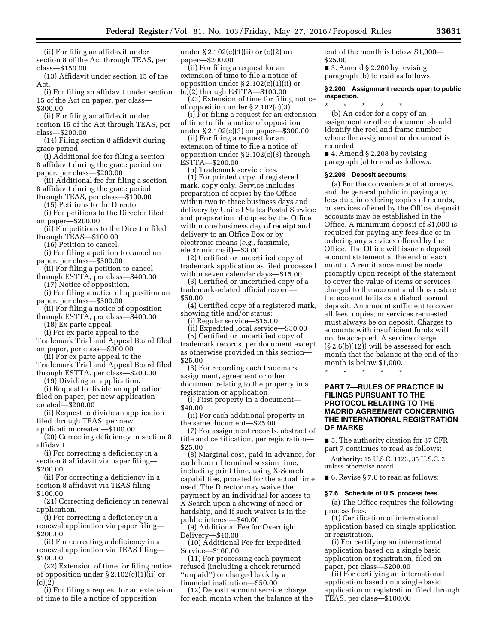(ii) For filing an affidavit under section 8 of the Act through TEAS, per class—\$150.00

(13) Affidavit under section 15 of the Act.

(i) For filing an affidavit under section 15 of the Act on paper, per class— \$300.00

(ii) For filing an affidavit under section 15 of the Act through TEAS, per class—\$200.00

(14) Filing section 8 affidavit during grace period.

(i) Additional fee for filing a section 8 affidavit during the grace period on paper, per class—\$200.00

(ii) Additional fee for filing a section 8 affidavit during the grace period

through TEAS, per class—\$100.00

(15) Petitions to the Director. (i) For petitions to the Director filed on paper—\$200.00

(ii) For petitions to the Director filed through TEAS—\$100.00

(16) Petition to cancel.

(i) For filing a petition to cancel on

paper, per class—\$500.00

(ii) For filing a petition to cancel through ESTTA, per class—\$400.00

(17) Notice of opposition.

(i) For filing a notice of opposition on paper, per class—\$500.00

(ii) For filing a notice of opposition through ESTTA, per class—\$400.00

(18) Ex parte appeal.

(i) For ex parte appeal to the

Trademark Trial and Appeal Board filed on paper, per class—\$300.00

(ii) For ex parte appeal to the Trademark Trial and Appeal Board filed through ESTTA, per class—\$200.00

(19) Dividing an application.

(i) Request to divide an application

filed on paper, per new application created—\$200.00

(ii) Request to divide an application filed through TEAS, per new

application created—\$100.00

(20) Correcting deficiency in section 8 affidavit.

(i) For correcting a deficiency in a section 8 affidavit via paper filing— \$200.00

(ii) For correcting a deficiency in a section 8 affidavit via TEAS filing— \$100.00

(21) Correcting deficiency in renewal application.

(i) For correcting a deficiency in a renewal application via paper filing— \$200.00

(ii) For correcting a deficiency in a renewal application via TEAS filing— \$100.00

(22) Extension of time for filing notice of opposition under § 2.102(c)(1)(ii) or  $(c)(2)$ .

(i) For filing a request for an extension of time to file a notice of opposition

under  $\S 2.102(c)(1)(ii)$  or  $(c)(2)$  on paper—\$200.00

(ii) For filing a request for an extension of time to file a notice of opposition under  $\S 2.102(c)(1)(ii)$  or (c)(2) through ESTTA—\$100.00

(23) Extension of time for filing notice of opposition under § 2.102(c)(3).

(i) For filing a request for an extension of time to file a notice of opposition under § 2.102(c)(3) on paper—\$300.00

(ii) For filing a request for an extension of time to file a notice of opposition under § 2.102(c)(3) through ESTTA—\$200.00

(b) Trademark service fees.

(1) For printed copy of registered mark, copy only. Service includes preparation of copies by the Office within two to three business days and delivery by United States Postal Service; and preparation of copies by the Office within one business day of receipt and delivery to an Office Box or by electronic means (*e.g.,* facsimile, electronic mail)—\$3.00

(2) Certified or uncertified copy of trademark application as filed processed within seven calendar days—\$15.00

(3) Certified or uncertified copy of a trademark-related official record— \$50.00

(4) Certified copy of a registered mark, showing title and/or status:

(i) Regular service—\$15.00

(ii) Expedited local service—\$30.00

(5) Certified or uncertified copy of trademark records, per document except as otherwise provided in this section— \$25.00

(6) For recording each trademark assignment, agreement or other document relating to the property in a registration or application

(i) First property in a document— \$40.00

(ii) For each additional property in the same document—\$25.00

(7) For assignment records, abstract of title and certification, per registration— \$25.00

(8) Marginal cost, paid in advance, for each hour of terminal session time, including print time, using X-Search capabilities, prorated for the actual time used. The Director may waive the payment by an individual for access to X-Search upon a showing of need or hardship, and if such waiver is in the public interest—\$40.00

(9) Additional Fee for Overnight Delivery—\$40.00

(10) Additional Fee for Expedited Service—\$160.00

(11) For processing each payment refused (including a check returned ''unpaid'') or charged back by a financial institution—\$50.00

(12) Deposit account service charge for each month when the balance at the end of the month is below \$1,000— \$25.00 ■ 3. Amend § 2.200 by revising

paragraph (b) to read as follows:

### **§ 2.200 Assignment records open to public inspection.**

\* \* \* \* \* (b) An order for a copy of an assignment or other document should identify the reel and frame number where the assignment or document is recorded.

 $\blacksquare$  4. Amend § 2.208 by revising paragraph (a) to read as follows:

#### **§ 2.208 Deposit accounts.**

(a) For the convenience of attorneys, and the general public in paying any fees due, in ordering copies of records, or services offered by the Office, deposit accounts may be established in the Office. A minimum deposit of \$1,000 is required for paying any fees due or in ordering any services offered by the Office. The Office will issue a deposit account statement at the end of each month. A remittance must be made promptly upon receipt of the statement to cover the value of items or services charged to the account and thus restore the account to its established normal deposit. An amount sufficient to cover all fees, copies, or services requested must always be on deposit. Charges to accounts with insufficient funds will not be accepted. A service charge (§ 2.6(b)(12)) will be assessed for each month that the balance at the end of the month is below \$1,000.

\* \* \* \* \*

## **PART 7—RULES OF PRACTICE IN FILINGS PURSUANT TO THE PROTOCOL RELATING TO THE MADRID AGREEMENT CONCERNING THE INTERNATIONAL REGISTRATION OF MARKS**

■ 5. The authority citation for 37 CFR part 7 continues to read as follows:

**Authority:** 15 U.S.C. 1123, 35 U.S.C. 2, unless otherwise noted.

■ 6. Revise § 7.6 to read as follows:

#### **§ 7.6 Schedule of U.S. process fees.**

(a) The Office requires the following process fees:

(1) Certification of international application based on single application or registration.

(i) For certifying an international application based on a single basic application or registration, filed on paper, per class—\$200.00

(ii) For certifying an international application based on a single basic application or registration, filed through TEAS, per class—\$100.00